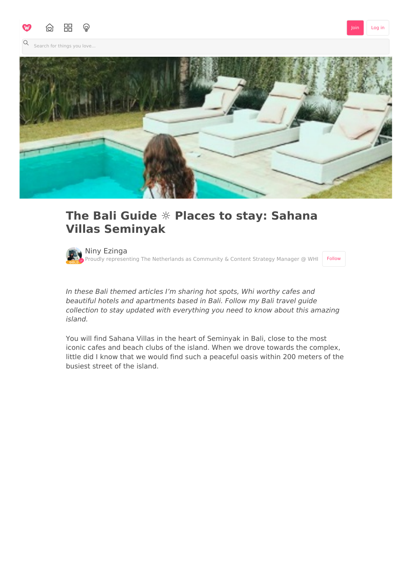

[Join](http://weheartit.com/join) [Log](http://weheartit.com/login) in

Search for things you love...



## **The Bali Guide ☼ Places to stay: Sahana Villas Seminyak**

Niny [Ezinga](http://weheartit.com/noascha) Proudly representing The Netherlands as Community & Content Strategy Manager @ WHI [Follow](javascript:void(0);)

In these Bali themed articles I'm sharing hot spots, Whi worthy cafes and beautiful hotels and apartments based in Bali. Follow my Bali travel guide collection to stay updated with everything you need to know about this amazing island.

You will find Sahana Villas in the heart of Seminyak in Bali, close to the most iconic cafes and beach clubs of the island. When we drove towards the complex, little did I know that we would find such a peaceful oasis within 200 meters of the busiest street of the island.

 $\begin{array}{c} \n\mathbf{C} \n\end{array}$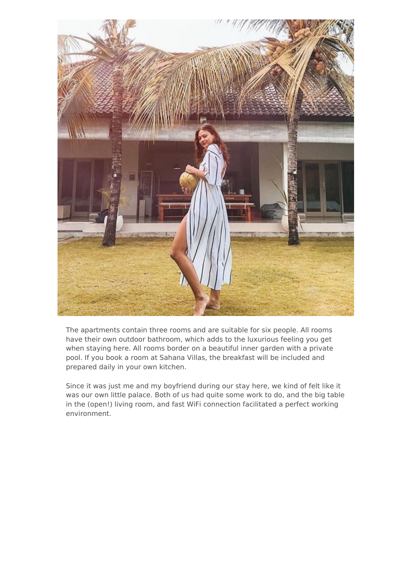

The apartments contain three rooms and are suitable for six people. All rooms have their own outdoor bathroom, which adds to the luxurious feeling you get when staying here. All rooms border on a beautiful inner garden with a private pool. If you book a room at Sahana Villas, the breakfast will be included and prepared daily in your own kitchen.

Since it was just me and my boyfriend during our stay here, we kind of felt like it was our own little palace. Both of us had quite some work to do, and the big table in the (open!) living room, and fast WiFi connection facilitated a perfect working environment.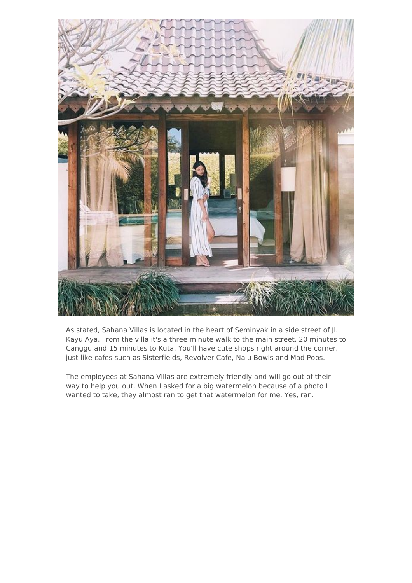

As stated, Sahana Villas is located in the heart of Seminyak in a side street of Jl. Kayu Aya. From the villa it's a three minute walk to the main street, 20 minutes to Canggu and 15 minutes to Kuta. You'll have cute shops right around the corner, just like cafes such as Sisterfields, Revolver Cafe, Nalu Bowls and Mad Pops.

The employees at Sahana Villas are extremely friendly and will go out of their way to help you out. When I asked for a big watermelon because of a photo I wanted to take, they almost ran to get that watermelon for me. Yes, ran.